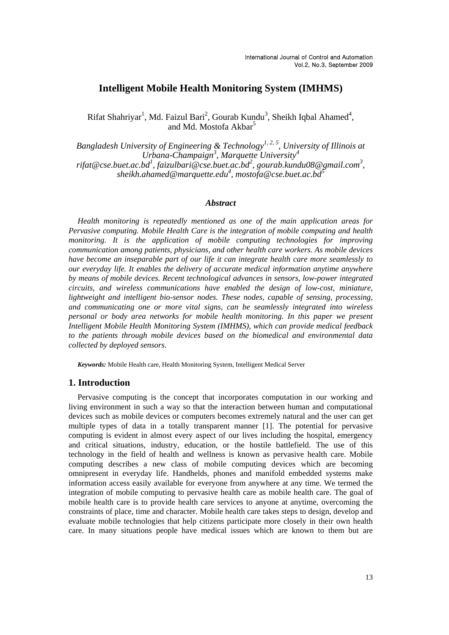# **Intelligent Mobile Health Monitoring System (IMHMS)**

Rifat Shahriyar<sup>1</sup>, Md. Faizul Bari<sup>2</sup>, Gourab Kundu<sup>3</sup>, Sheikh Iqbal Ahamed<sup>4</sup>, and Md. Mostofa Akbar<sup>5</sup>

*Bangladesh University of Engineering & Technology1, 2, 5, University of Illinois at Urbana-Champaign<sup>3</sup> , Marquette University<sup>4</sup> rifat@cse.buet.ac.bd<sup>1</sup> , faizulbari@cse.buet.ac.bd<sup>2</sup> , gourab.kundu08@gmail.com3 , sheikh.ahamed@marquette.edu4 , mostofa@cse.buet.ac.bd<sup>5</sup>*

# *Abstract*

*Health monitoring is repeatedly mentioned as one of the main application areas for Pervasive computing. Mobile Health Care is the integration of mobile computing and health monitoring. It is the application of mobile computing technologies for improving communication among patients, physicians, and other health care workers. As mobile devices have become an inseparable part of our life it can integrate health care more seamlessly to our everyday life. It enables the delivery of accurate medical information anytime anywhere by means of mobile devices. Recent technological advances in sensors, low-power integrated circuits, and wireless communications have enabled the design of low-cost, miniature, lightweight and intelligent bio-sensor nodes. These nodes, capable of sensing, processing, and communicating one or more vital signs, can be seamlessly integrated into wireless personal or body area networks for mobile health monitoring. In this paper we present Intelligent Mobile Health Monitoring System (IMHMS), which can provide medical feedback to the patients through mobile devices based on the biomedical and environmental data collected by deployed sensors.* 

*Keywords:* Mobile Health care, Health Monitoring System, Intelligent Medical Server

### **1. Introduction**

Pervasive computing is the concept that incorporates computation in our working and living environment in such a way so that the interaction between human and computational devices such as mobile devices or computers becomes extremely natural and the user can get multiple types of data in a totally transparent manner [1]. The potential for pervasive computing is evident in almost every aspect of our lives including the hospital, emergency and critical situations, industry, education, or the hostile battlefield. The use of this technology in the field of health and wellness is known as pervasive health care. Mobile computing describes a new class of mobile computing devices which are becoming omnipresent in everyday life. Handhelds, phones and manifold embedded systems make information access easily available for everyone from anywhere at any time. We termed the integration of mobile computing to pervasive health care as mobile health care. The goal of mobile health care is to provide health care services to anyone at anytime, overcoming the constraints of place, time and character. Mobile health care takes steps to design, develop and evaluate mobile technologies that help citizens participate more closely in their own health care. In many situations people have medical issues which are known to them but are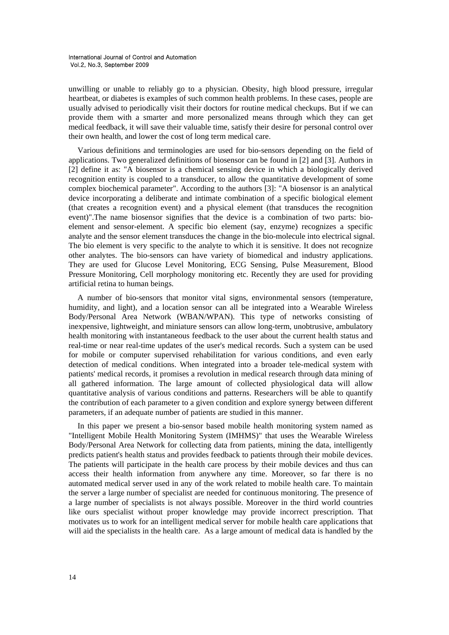unwilling or unable to reliably go to a physician. Obesity, high blood pressure, irregular heartbeat, or diabetes is examples of such common health problems. In these cases, people are usually advised to periodically visit their doctors for routine medical checkups. But if we can provide them with a smarter and more personalized means through which they can get medical feedback, it will save their valuable time, satisfy their desire for personal control over their own health, and lower the cost of long term medical care.

Various definitions and terminologies are used for bio-sensors depending on the field of applications. Two generalized definitions of biosensor can be found in [2] and [3]. Authors in [2] define it as: "A biosensor is a chemical sensing device in which a biologically derived recognition entity is coupled to a transducer, to allow the quantitative development of some complex biochemical parameter". According to the authors [3]: "A biosensor is an analytical device incorporating a deliberate and intimate combination of a specific biological element (that creates a recognition event) and a physical element (that transduces the recognition event)".The name biosensor signifies that the device is a combination of two parts: bioelement and sensor-element. A specific bio element (say, enzyme) recognizes a specific analyte and the sensor element transduces the change in the bio-molecule into electrical signal. The bio element is very specific to the analyte to which it is sensitive. It does not recognize other analytes. The bio-sensors can have variety of biomedical and industry applications. They are used for Glucose Level Monitoring, ECG Sensing, Pulse Measurement, Blood Pressure Monitoring, Cell morphology monitoring etc. Recently they are used for providing artificial retina to human beings.

A number of bio-sensors that monitor vital signs, environmental sensors (temperature, humidity, and light), and a location sensor can all be integrated into a Wearable Wireless Body/Personal Area Network (WBAN/WPAN). This type of networks consisting of inexpensive, lightweight, and miniature sensors can allow long-term, unobtrusive, ambulatory health monitoring with instantaneous feedback to the user about the current health status and real-time or near real-time updates of the user's medical records. Such a system can be used for mobile or computer supervised rehabilitation for various conditions, and even early detection of medical conditions. When integrated into a broader tele-medical system with patients' medical records, it promises a revolution in medical research through data mining of all gathered information. The large amount of collected physiological data will allow quantitative analysis of various conditions and patterns. Researchers will be able to quantify the contribution of each parameter to a given condition and explore synergy between different parameters, if an adequate number of patients are studied in this manner.

In this paper we present a bio-sensor based mobile health monitoring system named as "Intelligent Mobile Health Monitoring System (IMHMS)" that uses the Wearable Wireless Body/Personal Area Network for collecting data from patients, mining the data, intelligently predicts patient's health status and provides feedback to patients through their mobile devices. The patients will participate in the health care process by their mobile devices and thus can access their health information from anywhere any time. Moreover, so far there is no automated medical server used in any of the work related to mobile health care. To maintain the server a large number of specialist are needed for continuous monitoring. The presence of a large number of specialists is not always possible. Moreover in the third world countries like ours specialist without proper knowledge may provide incorrect prescription. That motivates us to work for an intelligent medical server for mobile health care applications that will aid the specialists in the health care. As a large amount of medical data is handled by the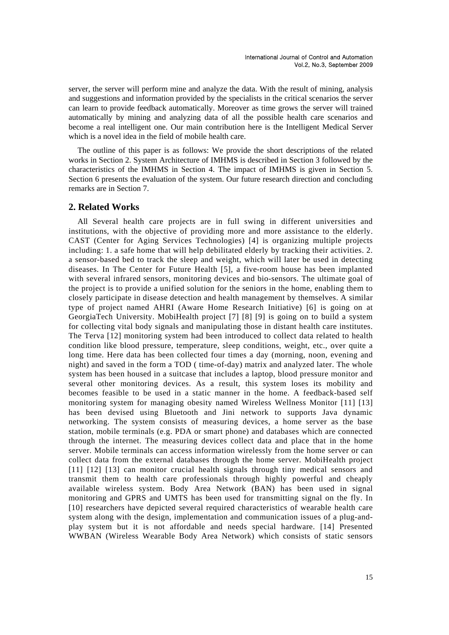server, the server will perform mine and analyze the data. With the result of mining, analysis and suggestions and information provided by the specialists in the critical scenarios the server can learn to provide feedback automatically. Moreover as time grows the server will trained automatically by mining and analyzing data of all the possible health care scenarios and become a real intelligent one. Our main contribution here is the Intelligent Medical Server which is a novel idea in the field of mobile health care.

The outline of this paper is as follows: We provide the short descriptions of the related works in Section 2. System Architecture of IMHMS is described in Section 3 followed by the characteristics of the IMHMS in Section 4. The impact of IMHMS is given in Section 5. Section 6 presents the evaluation of the system. Our future research direction and concluding remarks are in Section 7.

# **2. Related Works**

All Several health care projects are in full swing in different universities and institutions, with the objective of providing more and more assistance to the elderly. CAST (Center for Aging Services Technologies) [4] is organizing multiple projects including: 1. a safe home that will help debilitated elderly by tracking their activities. 2. a sensor-based bed to track the sleep and weight, which will later be used in detecting diseases. In The Center for Future Health [5], a five-room house has been implanted with several infrared sensors, monitoring devices and bio-sensors. The ultimate goal of the project is to provide a unified solution for the seniors in the home, enabling them to closely participate in disease detection and health management by themselves. A similar type of project named AHRI (Aware Home Research Initiative) [6] is going on at GeorgiaTech University. MobiHealth project [7] [8] [9] is going on to build a system for collecting vital body signals and manipulating those in distant health care institutes. The Terva [12] monitoring system had been introduced to collect data related to health condition like blood pressure, temperature, sleep conditions, weight, etc., over quite a long time. Here data has been collected four times a day (morning, noon, evening and night) and saved in the form a TOD ( time-of-day) matrix and analyzed later. The whole system has been housed in a suitcase that includes a laptop, blood pressure monitor and several other monitoring devices. As a result, this system loses its mobility and becomes feasible to be used in a static manner in the home. A feedback-based self monitoring system for managing obesity named Wireless Wellness Monitor [11] [13] has been devised using Bluetooth and Jini network to supports Java dynamic networking. The system consists of measuring devices, a home server as the base station, mobile terminals (e.g. PDA or smart phone) and databases which are connected through the internet. The measuring devices collect data and place that in the home server. Mobile terminals can access information wirelessly from the home server or can collect data from the external databases through the home server. MobiHealth project [11] [12] [13] can monitor crucial health signals through tiny medical sensors and transmit them to health care professionals through highly powerful and cheaply available wireless system. Body Area Network (BAN) has been used in signal monitoring and GPRS and UMTS has been used for transmitting signal on the fly. In [10] researchers have depicted several required characteristics of wearable health care system along with the design, implementation and communication issues of a plug-andplay system but it is not affordable and needs special hardware. [14] Presented WWBAN (Wireless Wearable Body Area Network) which consists of static sensors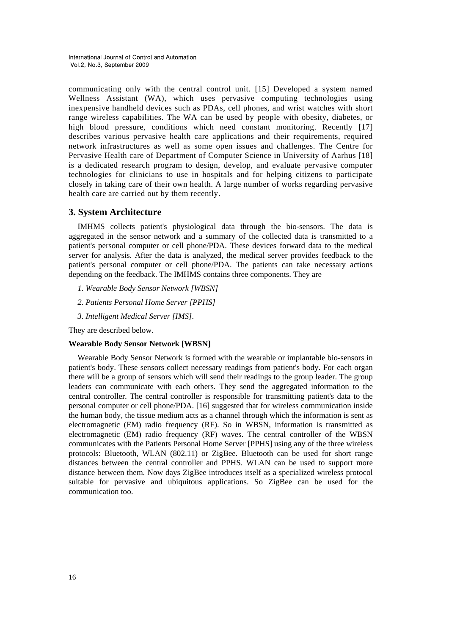communicating only with the central control unit. [15] Developed a system named Wellness Assistant (WA), which uses pervasive computing technologies using inexpensive handheld devices such as PDAs, cell phones, and wrist watches with short range wireless capabilities. The WA can be used by people with obesity, diabetes, or high blood pressure, conditions which need constant monitoring. Recently [17] describes various pervasive health care applications and their requirements, required network infrastructures as well as some open issues and challenges. The Centre for Pervasive Health care of Department of Computer Science in University of Aarhus [18] is a dedicated research program to design, develop, and evaluate pervasive computer technologies for clinicians to use in hospitals and for helping citizens to participate closely in taking care of their own health. A large number of works regarding pervasive health care are carried out by them recently.

# **3. System Architecture**

IMHMS collects patient's physiological data through the bio-sensors. The data is aggregated in the sensor network and a summary of the collected data is transmitted to a patient's personal computer or cell phone/PDA. These devices forward data to the medical server for analysis. After the data is analyzed, the medical server provides feedback to the patient's personal computer or cell phone/PDA. The patients can take necessary actions depending on the feedback. The IMHMS contains three components. They are

- *1. Wearable Body Sensor Network [WBSN]*
- *2. Patients Personal Home Server [PPHS]*
- *3. Intelligent Medical Server [IMS].*

They are described below.

### **Wearable Body Sensor Network [WBSN]**

Wearable Body Sensor Network is formed with the wearable or implantable bio-sensors in patient's body. These sensors collect necessary readings from patient's body. For each organ there will be a group of sensors which will send their readings to the group leader. The group leaders can communicate with each others. They send the aggregated information to the central controller. The central controller is responsible for transmitting patient's data to the personal computer or cell phone/PDA. [16] suggested that for wireless communication inside the human body, the tissue medium acts as a channel through which the information is sent as electromagnetic (EM) radio frequency (RF). So in WBSN, information is transmitted as electromagnetic (EM) radio frequency (RF) waves. The central controller of the WBSN communicates with the Patients Personal Home Server [PPHS] using any of the three wireless protocols: Bluetooth, WLAN (802.11) or ZigBee. Bluetooth can be used for short range distances between the central controller and PPHS. WLAN can be used to support more distance between them. Now days ZigBee introduces itself as a specialized wireless protocol suitable for pervasive and ubiquitous applications. So ZigBee can be used for the communication too.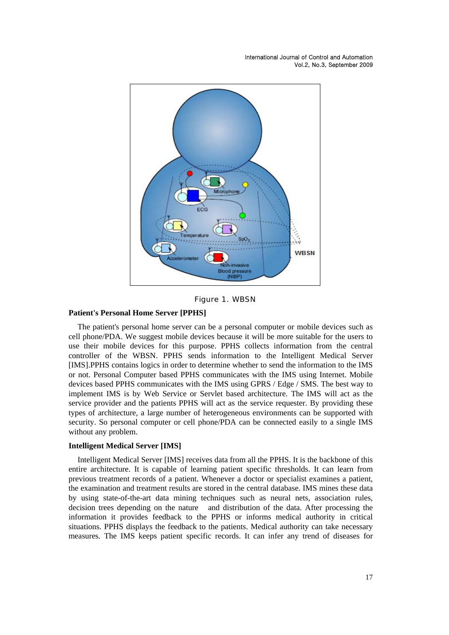

Figure 1. WBSN

# **Patient's Personal Home Server [PPHS]**

The patient's personal home server can be a personal computer or mobile devices such as cell phone/PDA. We suggest mobile devices because it will be more suitable for the users to use their mobile devices for this purpose. PPHS collects information from the central controller of the WBSN. PPHS sends information to the Intelligent Medical Server [IMS].PPHS contains logics in order to determine whether to send the information to the IMS or not. Personal Computer based PPHS communicates with the IMS using Internet. Mobile devices based PPHS communicates with the IMS using GPRS / Edge / SMS. The best way to implement IMS is by Web Service or Servlet based architecture. The IMS will act as the service provider and the patients PPHS will act as the service requester. By providing these types of architecture, a large number of heterogeneous environments can be supported with security. So personal computer or cell phone/PDA can be connected easily to a single IMS without any problem.

#### **Intelligent Medical Server [IMS]**

Intelligent Medical Server [IMS] receives data from all the PPHS. It is the backbone of this entire architecture. It is capable of learning patient specific thresholds. It can learn from previous treatment records of a patient. Whenever a doctor or specialist examines a patient, the examination and treatment results are stored in the central database. IMS mines these data by using state-of-the-art data mining techniques such as neural nets, association rules, decision trees depending on the nature and distribution of the data. After processing the information it provides feedback to the PPHS or informs medical authority in critical situations. PPHS displays the feedback to the patients. Medical authority can take necessary measures. The IMS keeps patient specific records. It can infer any trend of diseases for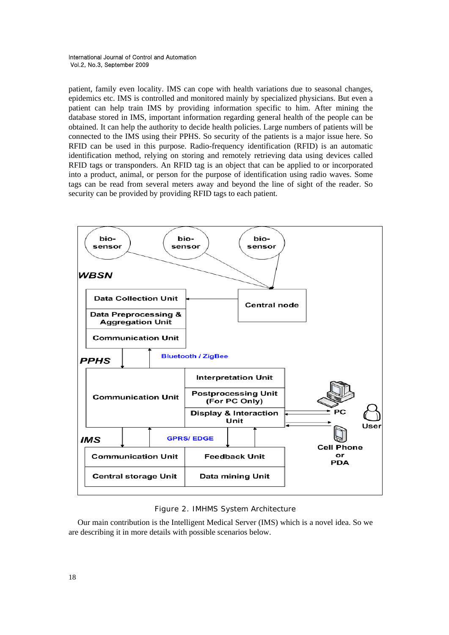patient, family even locality. IMS can cope with health variations due to seasonal changes, epidemics etc. IMS is controlled and monitored mainly by specialized physicians. But even a patient can help train IMS by providing information specific to him. After mining the database stored in IMS, important information regarding general health of the people can be obtained. It can help the authority to decide health policies. Large numbers of patients will be connected to the IMS using their PPHS. So security of the patients is a major issue here. So RFID can be used in this purpose. Radio-frequency identification (RFID) is an automatic identification method, relying on storing and remotely retrieving data using devices called RFID tags or transponders. An RFID tag is an object that can be applied to or incorporated into a product, animal, or person for the purpose of identification using radio waves. Some tags can be read from several meters away and beyond the line of sight of the reader. So security can be provided by providing RFID tags to each patient.



Figure 2. IMHMS System Architecture

Our main contribution is the Intelligent Medical Server (IMS) which is a novel idea. So we are describing it in more details with possible scenarios below.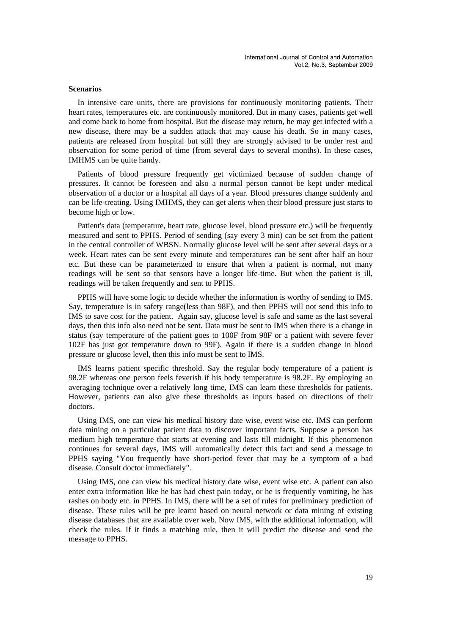### **Scenarios**

In intensive care units, there are provisions for continuously monitoring patients. Their heart rates, temperatures etc. are continuously monitored. But in many cases, patients get well and come back to home from hospital. But the disease may return, he may get infected with a new disease, there may be a sudden attack that may cause his death. So in many cases, patients are released from hospital but still they are strongly advised to be under rest and observation for some period of time (from several days to several months). In these cases, IMHMS can be quite handy.

Patients of blood pressure frequently get victimized because of sudden change of pressures. It cannot be foreseen and also a normal person cannot be kept under medical observation of a doctor or a hospital all days of a year. Blood pressures change suddenly and can be life-treating. Using IMHMS, they can get alerts when their blood pressure just starts to become high or low.

Patient's data (temperature, heart rate, glucose level, blood pressure etc.) will be frequently measured and sent to PPHS. Period of sending (say every 3 min) can be set from the patient in the central controller of WBSN. Normally glucose level will be sent after several days or a week. Heart rates can be sent every minute and temperatures can be sent after half an hour etc. But these can be parameterized to ensure that when a patient is normal, not many readings will be sent so that sensors have a longer life-time. But when the patient is ill, readings will be taken frequently and sent to PPHS.

PPHS will have some logic to decide whether the information is worthy of sending to IMS. Say, temperature is in safety range(less than 98F), and then PPHS will not send this info to IMS to save cost for the patient. Again say, glucose level is safe and same as the last several days, then this info also need not be sent. Data must be sent to IMS when there is a change in status (say temperature of the patient goes to 100F from 98F or a patient with severe fever 102F has just got temperature down to 99F). Again if there is a sudden change in blood pressure or glucose level, then this info must be sent to IMS.

IMS learns patient specific threshold. Say the regular body temperature of a patient is 98.2F whereas one person feels feverish if his body temperature is 98.2F. By employing an averaging technique over a relatively long time, IMS can learn these thresholds for patients. However, patients can also give these thresholds as inputs based on directions of their doctors.

Using IMS, one can view his medical history date wise, event wise etc. IMS can perform data mining on a particular patient data to discover important facts. Suppose a person has medium high temperature that starts at evening and lasts till midnight. If this phenomenon continues for several days, IMS will automatically detect this fact and send a message to PPHS saying "You frequently have short-period fever that may be a symptom of a bad disease. Consult doctor immediately".

Using IMS, one can view his medical history date wise, event wise etc. A patient can also enter extra information like he has had chest pain today, or he is frequently vomiting, he has rashes on body etc. in PPHS. In IMS, there will be a set of rules for preliminary prediction of disease. These rules will be pre learnt based on neural network or data mining of existing disease databases that are available over web. Now IMS, with the additional information, will check the rules. If it finds a matching rule, then it will predict the disease and send the message to PPHS.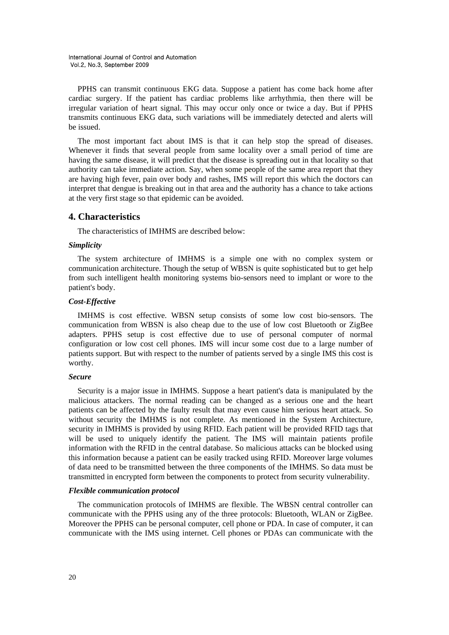PPHS can transmit continuous EKG data. Suppose a patient has come back home after cardiac surgery. If the patient has cardiac problems like arrhythmia, then there will be irregular variation of heart signal. This may occur only once or twice a day. But if PPHS transmits continuous EKG data, such variations will be immediately detected and alerts will be issued.

The most important fact about IMS is that it can help stop the spread of diseases. Whenever it finds that several people from same locality over a small period of time are having the same disease, it will predict that the disease is spreading out in that locality so that authority can take immediate action. Say, when some people of the same area report that they are having high fever, pain over body and rashes, IMS will report this which the doctors can interpret that dengue is breaking out in that area and the authority has a chance to take actions at the very first stage so that epidemic can be avoided.

# **4. Characteristics**

The characteristics of IMHMS are described below:

#### *Simplicity*

The system architecture of IMHMS is a simple one with no complex system or communication architecture. Though the setup of WBSN is quite sophisticated but to get help from such intelligent health monitoring systems bio-sensors need to implant or wore to the patient's body.

### *Cost-Effective*

IMHMS is cost effective. WBSN setup consists of some low cost bio-sensors. The communication from WBSN is also cheap due to the use of low cost Bluetooth or ZigBee adapters. PPHS setup is cost effective due to use of personal computer of normal configuration or low cost cell phones. IMS will incur some cost due to a large number of patients support. But with respect to the number of patients served by a single IMS this cost is worthy.

### *Secure*

Security is a major issue in IMHMS. Suppose a heart patient's data is manipulated by the malicious attackers. The normal reading can be changed as a serious one and the heart patients can be affected by the faulty result that may even cause him serious heart attack. So without security the IMHMS is not complete. As mentioned in the System Architecture, security in IMHMS is provided by using RFID. Each patient will be provided RFID tags that will be used to uniquely identify the patient. The IMS will maintain patients profile information with the RFID in the central database. So malicious attacks can be blocked using this information because a patient can be easily tracked using RFID. Moreover large volumes of data need to be transmitted between the three components of the IMHMS. So data must be transmitted in encrypted form between the components to protect from security vulnerability.

#### *Flexible communication protocol*

The communication protocols of IMHMS are flexible. The WBSN central controller can communicate with the PPHS using any of the three protocols: Bluetooth, WLAN or ZigBee. Moreover the PPHS can be personal computer, cell phone or PDA. In case of computer, it can communicate with the IMS using internet. Cell phones or PDAs can communicate with the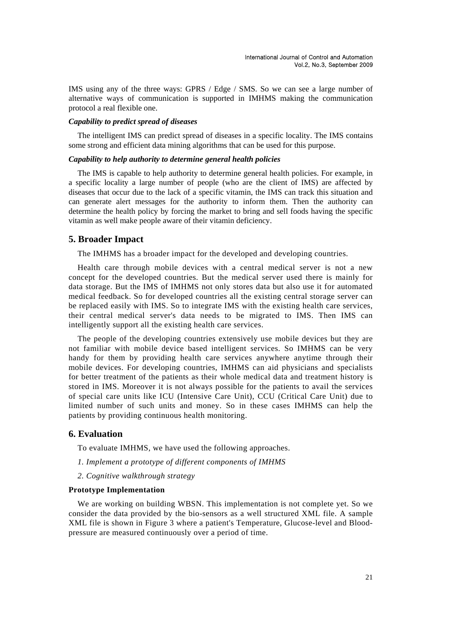IMS using any of the three ways: GPRS / Edge / SMS. So we can see a large number of alternative ways of communication is supported in IMHMS making the communication protocol a real flexible one.

### *Capability to predict spread of diseases*

The intelligent IMS can predict spread of diseases in a specific locality. The IMS contains some strong and efficient data mining algorithms that can be used for this purpose.

# *Capability to help authority to determine general health policies*

The IMS is capable to help authority to determine general health policies. For example, in a specific locality a large number of people (who are the client of IMS) are affected by diseases that occur due to the lack of a specific vitamin, the IMS can track this situation and can generate alert messages for the authority to inform them. Then the authority can determine the health policy by forcing the market to bring and sell foods having the specific vitamin as well make people aware of their vitamin deficiency.

# **5. Broader Impact**

The IMHMS has a broader impact for the developed and developing countries.

Health care through mobile devices with a central medical server is not a new concept for the developed countries. But the medical server used there is mainly for data storage. But the IMS of IMHMS not only stores data but also use it for automated medical feedback. So for developed countries all the existing central storage server can be replaced easily with IMS. So to integrate IMS with the existing health care services, their central medical server's data needs to be migrated to IMS. Then IMS can intelligently support all the existing health care services.

The people of the developing countries extensively use mobile devices but they are not familiar with mobile device based intelligent services. So IMHMS can be very handy for them by providing health care services anywhere anytime through their mobile devices. For developing countries, IMHMS can aid physicians and specialists for better treatment of the patients as their whole medical data and treatment history is stored in IMS. Moreover it is not always possible for the patients to avail the services of special care units like ICU (Intensive Care Unit), CCU (Critical Care Unit) due to limited number of such units and money. So in these cases IMHMS can help the patients by providing continuous health monitoring.

# **6. Evaluation**

To evaluate IMHMS, we have used the following approaches.

- *1. Implement a prototype of different components of IMHMS*
- *2. Cognitive walkthrough strategy*

# **Prototype Implementation**

We are working on building WBSN. This implementation is not complete yet. So we consider the data provided by the bio-sensors as a well structured XML file. A sample XML file is shown in Figure 3 where a patient's Temperature, Glucose-level and Bloodpressure are measured continuously over a period of time.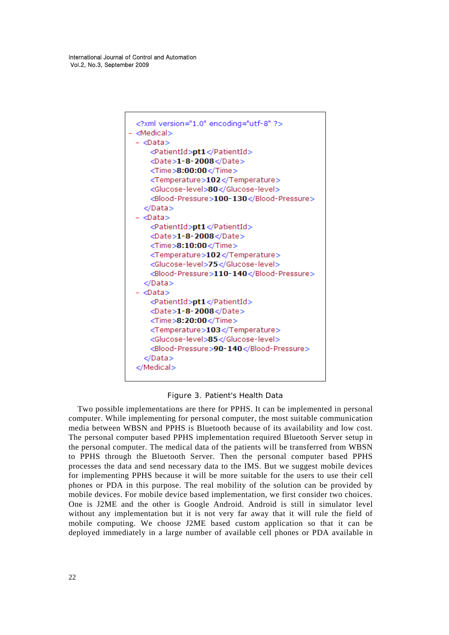

# Figure 3. Patient's Health Data

Two possible implementations are there for PPHS. It can be implemented in personal computer. While implementing for personal computer, the most suitable communication media between WBSN and PPHS is Bluetooth because of its availability and low cost. The personal computer based PPHS implementation required Bluetooth Server setup in the personal computer. The medical data of the patients will be transferred from WBSN to PPHS through the Bluetooth Server. Then the personal computer based PPHS processes the data and send necessary data to the IMS. But we suggest mobile devices for implementing PPHS because it will be more suitable for the users to use their cell phones or PDA in this purpose. The real mobility of the solution can be provided by mobile devices. For mobile device based implementation, we first consider two choices. One is J2ME and the other is Google Android. Android is still in simulator level without any implementation but it is not very far away that it will rule the field of mobile computing. We choose J2ME based custom application so that it can be deployed immediately in a large number of available cell phones or PDA available in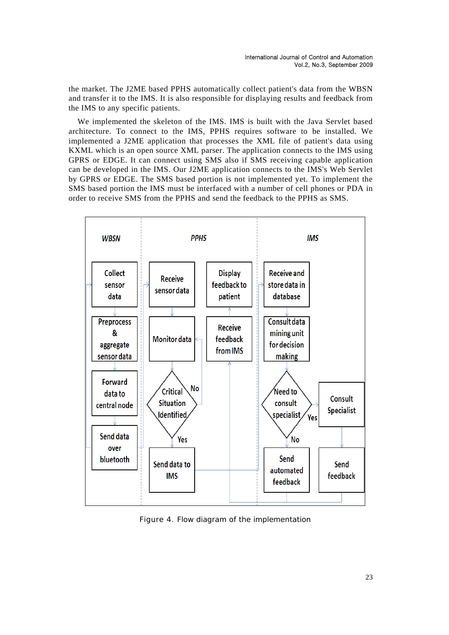the market. The J2ME based PPHS automatically collect patient's data from the WBSN and transfer it to the IMS. It is also responsible for displaying results and feedback from the IMS to any specific patients.

We implemented the skeleton of the IMS. IMS is built with the Java Servlet based architecture. To connect to the IMS, PPHS requires software to be installed. We implemented a J2ME application that processes the XML file of patient's data using KXML which is an open source XML parser. The application connects to the IMS using GPRS or EDGE. It can connect using SMS also if SMS receiving capable application can be developed in the IMS. Our J2ME application connects to the IMS's Web Servlet by GPRS or EDGE. The SMS based portion is not implemented yet. To implement the SMS based portion the IMS must be interfaced with a number of cell phones or PDA in order to receive SMS from the PPHS and send the feedback to the PPHS as SMS.



Figure 4. Flow diagram of the implementation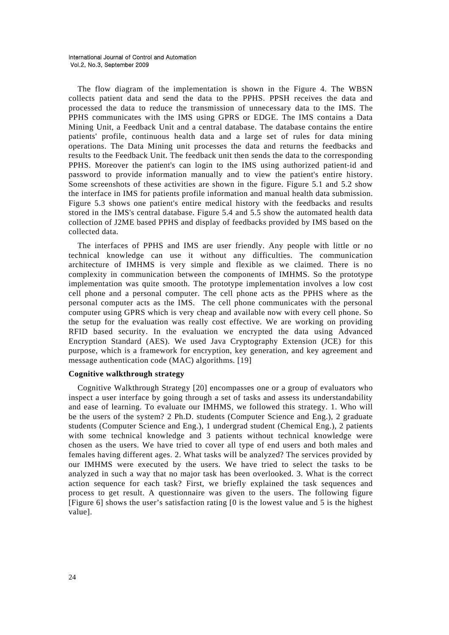The flow diagram of the implementation is shown in the Figure 4. The WBSN collects patient data and send the data to the PPHS. PPSH receives the data and processed the data to reduce the transmission of unnecessary data to the IMS. The PPHS communicates with the IMS using GPRS or EDGE. The IMS contains a Data Mining Unit, a Feedback Unit and a central database. The database contains the entire patients' profile, continuous health data and a large set of rules for data mining operations. The Data Mining unit processes the data and returns the feedbacks and results to the Feedback Unit. The feedback unit then sends the data to the corresponding PPHS. Moreover the patient's can login to the IMS using authorized patient-id and password to provide information manually and to view the patient's entire history. Some screenshots of these activities are shown in the figure. Figure 5.1 and 5.2 show the interface in IMS for patients profile information and manual health data submission. Figure 5.3 shows one patient's entire medical history with the feedbacks and results stored in the IMS's central database. Figure 5.4 and 5.5 show the automated health data collection of J2ME based PPHS and display of feedbacks provided by IMS based on the collected data.

The interfaces of PPHS and IMS are user friendly. Any people with little or no technical knowledge can use it without any difficulties. The communication architecture of IMHMS is very simple and flexible as we claimed. There is no complexity in communication between the components of IMHMS. So the prototype implementation was quite smooth. The prototype implementation involves a low cost cell phone and a personal computer. The cell phone acts as the PPHS where as the personal computer acts as the IMS. The cell phone communicates with the personal computer using GPRS which is very cheap and available now with every cell phone. So the setup for the evaluation was really cost effective. We are working on providing RFID based security. In the evaluation we encrypted the data using Advanced Encryption Standard (AES). We used Java Cryptography Extension (JCE) for this purpose, which is a framework for encryption, key generation, and key agreement and message authentication code (MAC) algorithms. [19]

#### **Cognitive walkthrough strategy**

Cognitive Walkthrough Strategy [20] encompasses one or a group of evaluators who inspect a user interface by going through a set of tasks and assess its understandability and ease of learning. To evaluate our IMHMS, we followed this strategy. 1. Who will be the users of the system? 2 Ph.D. students (Computer Science and Eng.), 2 graduate students (Computer Science and Eng.), 1 undergrad student (Chemical Eng.), 2 patients with some technical knowledge and 3 patients without technical knowledge were chosen as the users. We have tried to cover all type of end users and both males and females having different ages. 2. What tasks will be analyzed? The services provided by our IMHMS were executed by the users. We have tried to select the tasks to be analyzed in such a way that no major task has been overlooked. 3. What is the correct action sequence for each task? First, we briefly explained the task sequences and process to get result. A questionnaire was given to the users. The following figure [Figure 6] shows the user's satisfaction rating [0 is the lowest value and 5 is the highest value].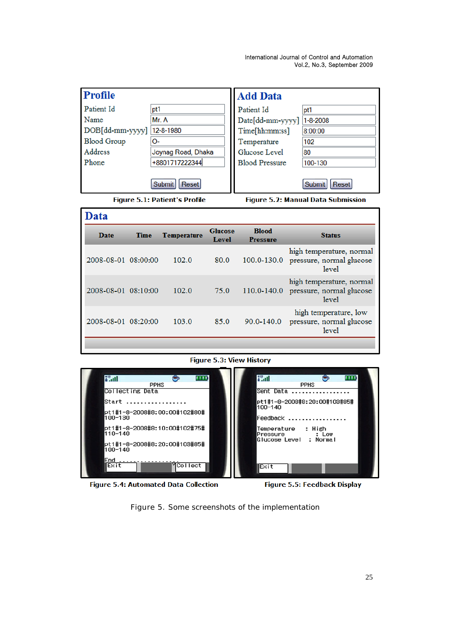| <b>Profile</b>             |                               | <b>Add Data</b>            |                        |
|----------------------------|-------------------------------|----------------------------|------------------------|
| Patient Id                 | pt1                           | Patient Id                 | pt1                    |
| Name                       | Mr. A                         | Date[dd-mm-yyyy]  1-8-2008 |                        |
| DOB[dd-mm-yyyy]  12-8-1980 |                               | Time[hh:mm:ss]             | 8:00:00                |
| <b>Blood Group</b>         | $O-$                          | Temperature                | 102                    |
| Address                    | Joynag Road, Dhaka            | Glucose Level              | 80                     |
| Phone                      | +8801717222344                | <b>Blood Pressure</b>      | 100-130                |
|                            | <b>Submit</b><br><b>Reset</b> |                            | <b>Submit</b><br>Reset |

Figure 5.1: Patient's Profile

Figure 5.2: Manual Data Submission

| Data                |             |                    |                         |                                 |                                                               |
|---------------------|-------------|--------------------|-------------------------|---------------------------------|---------------------------------------------------------------|
| <b>Date</b>         | <b>Time</b> | <b>Temperature</b> | <b>Glucose</b><br>Level | <b>Blood</b><br><b>Pressure</b> | <b>Status</b>                                                 |
| 2008-08-01 08:00:00 |             | 102.0              | 80.0                    | 100.0-130.0                     | high temperature, normal<br>pressure, normal glucose<br>level |
| 2008-08-01 08:10:00 |             | 102.0              | 75.0                    | 110.0-140.0                     | high temperature, normal<br>pressure, normal glucose<br>level |
| 2008-08-01 08:20:00 |             | 103.0              | 85.0                    | 90.0-140.0                      | high temperature, low<br>pressure, normal glucose<br>level    |
|                     |             |                    |                         |                                 |                                                               |

# **Figure 5.3: View History**



**Figure 5.4: Automated Data Collection** 

Figure 5.5: Feedback Display

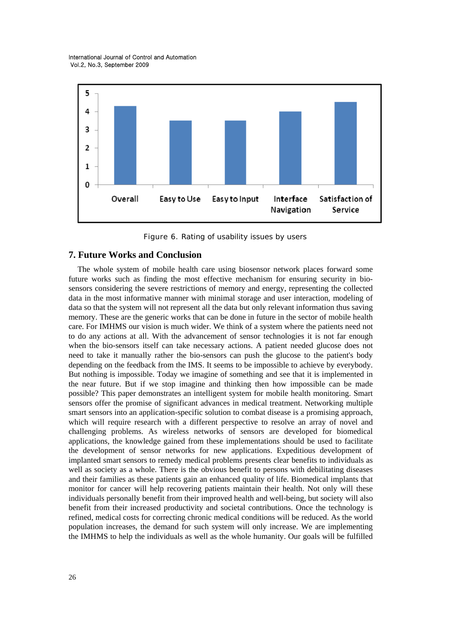

Figure 6. Rating of usability issues by users

# **7. Future Works and Conclusion**

The whole system of mobile health care using biosensor network places forward some future works such as finding the most effective mechanism for ensuring security in biosensors considering the severe restrictions of memory and energy, representing the collected data in the most informative manner with minimal storage and user interaction, modeling of data so that the system will not represent all the data but only relevant information thus saving memory. These are the generic works that can be done in future in the sector of mobile health care. For IMHMS our vision is much wider. We think of a system where the patients need not to do any actions at all. With the advancement of sensor technologies it is not far enough when the bio-sensors itself can take necessary actions. A patient needed glucose does not need to take it manually rather the bio-sensors can push the glucose to the patient's body depending on the feedback from the IMS. It seems to be impossible to achieve by everybody. But nothing is impossible. Today we imagine of something and see that it is implemented in the near future. But if we stop imagine and thinking then how impossible can be made possible? This paper demonstrates an intelligent system for mobile health monitoring. Smart sensors offer the promise of significant advances in medical treatment. Networking multiple smart sensors into an application-specific solution to combat disease is a promising approach, which will require research with a different perspective to resolve an array of novel and challenging problems. As wireless networks of sensors are developed for biomedical applications, the knowledge gained from these implementations should be used to facilitate the development of sensor networks for new applications. Expeditious development of implanted smart sensors to remedy medical problems presents clear benefits to individuals as well as society as a whole. There is the obvious benefit to persons with debilitating diseases and their families as these patients gain an enhanced quality of life. Biomedical implants that monitor for cancer will help recovering patients maintain their health. Not only will these individuals personally benefit from their improved health and well-being, but society will also benefit from their increased productivity and societal contributions. Once the technology is refined, medical costs for correcting chronic medical conditions will be reduced. As the world population increases, the demand for such system will only increase. We are implementing the IMHMS to help the individuals as well as the whole humanity. Our goals will be fulfilled